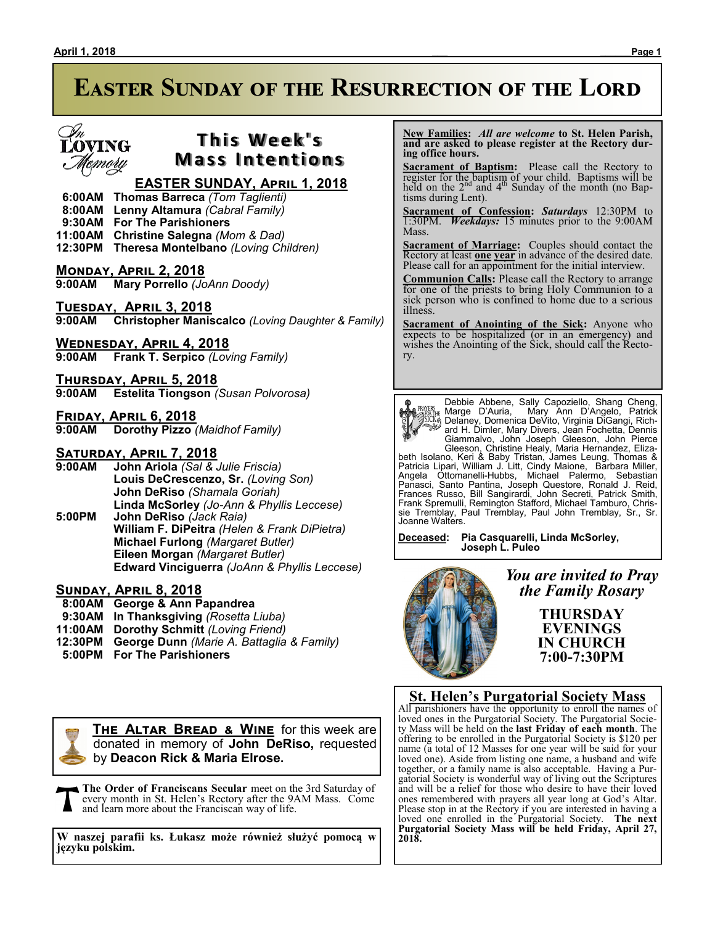# L'OVING remory

## **This Week's Mass Intentions**

### **EASTER SUNDAY, April 1, 2018**

- **6:00AM Thomas Barreca** *(Tom Taglienti)*
- **8:00AM Lenny Altamura** *(Cabral Family)*
- **9:30AM For The Parishioners**
- **11:00AM Christine Salegna** *(Mom & Dad)*
- **12:30PM Theresa Montelbano** *(Loving Children)*

#### **MONDAY, APRIL 2, 2018**<br>9:00AM Mary Porrello (Jo **9:00AM Mary Porrello** *(JoAnn Doody)*

**Tuesday, April 3, 2018 9:00AM Christopher Maniscalco** *(Loving Daughter & Family)*

**Wednesday, April 4, 2018 9:00AM Frank T. Serpico** *(Loving Family)*

#### **Thursday, April 5, 2018 9:00AM Estelita Tiongson** *(Susan Polvorosa)*

**Friday, April 6, 2018**

**9:00AM Dorothy Pizzo** *(Maidhof Family)*

# **SATURDAY, APRIL 7, 2018**<br>9:00AM John Ariola (Sal &

**9:00AM John Ariola** *(Sal & Julie Friscia)* **Louis DeCrescenzo, Sr.** *(Loving Son)* **John DeRiso** *(Shamala Goriah)* **Linda McSorley** *(Jo-Ann & Phyllis Leccese)* **5:00PM John DeRiso** *(Jack Raia)* **William F. DiPeitra** *(Helen & Frank DiPietra)* **Michael Furlong** *(Margaret Butler)* **Eileen Morgan** *(Margaret Butler)* **Edward Vinciguerra** *(JoAnn & Phyllis Leccese)*

#### **Sunday, April 8, 2018**

- **8:00AM George & Ann Papandrea**
- **9:30AM In Thanksgiving** *(Rosetta Liuba)*
- **11:00AM Dorothy Schmitt** *(Loving Friend)*
- **12:30PM George Dunn** *(Marie A. Battaglia & Family)*
- **5:00PM For The Parishioners**



**THE ALTAR BREAD & WINE** for this week are donated in memory of **John DeRiso,** requested by **Deacon Rick & Maria Elrose.**

**The Order of Franciscans Secular** meet on the 3rd Saturday of every month in St. Helen's Rectory after the 9AM Mass. Come and learn more about the Franciscan way of life.

**W naszej parafii ks. Łukasz może również służyć pomocą w języku polskim.** 

 **New Families:** *All are welcome* **to St. Helen Parish, and are asked to please register at the Rectory during office hours.**

**Sacrament of Baptism:**Please call the Rectory to register for the baptism of your child. Baptisms will be held on the  $2<sup>nd</sup>$  and  $4<sup>th</sup>$  Sunday of the month (no Baptisms during Lent).

**Sacrament of Confession:** *Saturdays* 12:30PM to 1:30PM. *Weekdays:* 15 minutes prior to the 9:00AM **Mass** 

**Sacrament of Marriage:**Couples should contact the Rectory at least **one year** in advance of the desired date. Please call for an appointment for the initial interview.

**Communion Calls:** Please call the Rectory to arrange for one of the priests to bring Holy Communion to a sick person who is confined to home due to a serious illness.

**Sacrament of Anointing of the Sick:** Anyone who expects to be hospitalized (or in an emergency) and wishes the Anointing of the Sick, should call the Rectory.



Debbie Abbene, Sally Capoziello, Shang Cheng,

Marge D'Auria, Mary Ann D'Angelo, Patrick<br>
Sicke Delaney, Domenica DeVito, Virginia DiGangi, Rich-<br>
ard H. Dimler, Mary Divers, Jean Fochetta, Dennis<br>
Giammalvo, John Joseph Gleeson, John Pierce<br>
Gleeson, Christine Healy, Frances Russo, Bill Sangirardi, John Secreti, Patrick Smith, Frank Spremulli, Remington Stafford, Michael Tamburo, Chrissie Tremblay, Paul Tremblay, Paul John Tremblay, Sr., Sr. Joanne Walters.

**Deceased: Pia Casquarelli, Linda McSorley, Joseph L. Puleo**



*You are invited to Pray the Family Rosary*

> **THURSDAY EVENINGS IN CHURCH 7:00-7:30PM**

#### **St. Helen's Purgatorial Society Mass**

All parishioners have the opportunity to enroll the names of loved ones in the Purgatorial Society. The Purgatorial Society Mass will be held on the **last Friday of each month**. The offering to be enrolled in the Purgatorial Society is \$120 per name (a total of 12 Masses for one year will be said for your loved one). Aside from listing one name, a husband and wife together, or a family name is also acceptable. Having a Purgatorial Society is wonderful way of living out the Scriptures and will be a relief for those who desire to have their loved ones remembered with prayers all year long at God's Altar. Please stop in at the Rectory if you are interested in having a loved one enrolled in the Purgatorial Society. **The next Purgatorial Society Mass will be held Friday, April 27, 2018.**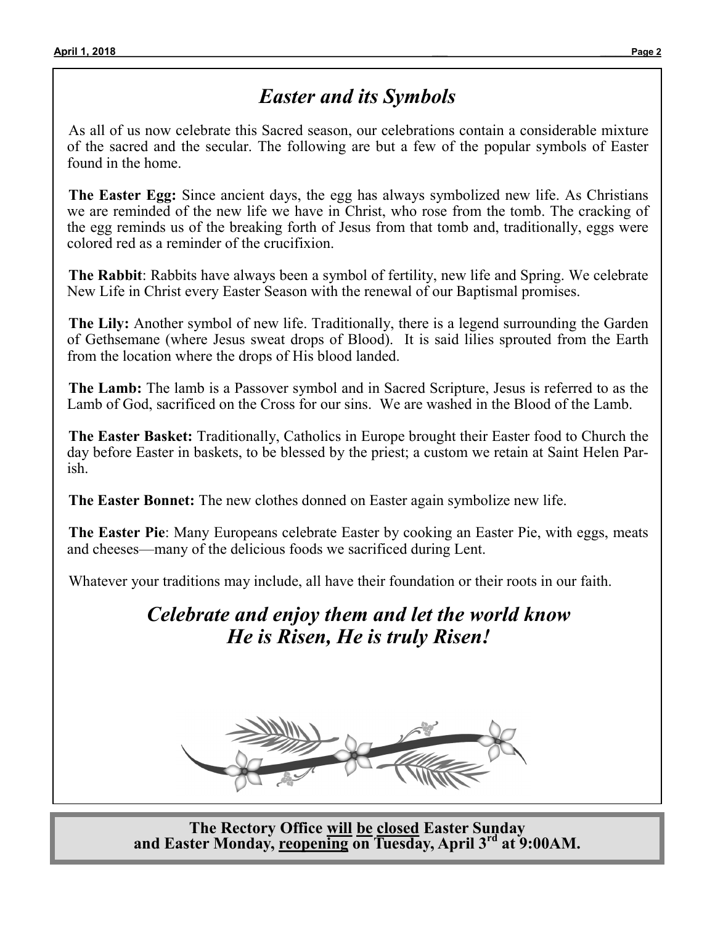# *Easter and its Symbols*

As all of us now celebrate this Sacred season, our celebrations contain a considerable mixture of the sacred and the secular. The following are but a few of the popular symbols of Easter found in the home.

**The Easter Egg:** Since ancient days, the egg has always symbolized new life. As Christians we are reminded of the new life we have in Christ, who rose from the tomb. The cracking of the egg reminds us of the breaking forth of Jesus from that tomb and, traditionally, eggs were colored red as a reminder of the crucifixion.

**The Rabbit**: Rabbits have always been a symbol of fertility, new life and Spring. We celebrate New Life in Christ every Easter Season with the renewal of our Baptismal promises.

**The Lily:** Another symbol of new life. Traditionally, there is a legend surrounding the Garden of Gethsemane (where Jesus sweat drops of Blood). It is said lilies sprouted from the Earth from the location where the drops of His blood landed.

**The Lamb:** The lamb is a Passover symbol and in Sacred Scripture, Jesus is referred to as the Lamb of God, sacrificed on the Cross for our sins. We are washed in the Blood of the Lamb.

**The Easter Basket:** Traditionally, Catholics in Europe brought their Easter food to Church the day before Easter in baskets, to be blessed by the priest; a custom we retain at Saint Helen Parish.

**The Easter Bonnet:** The new clothes donned on Easter again symbolize new life.

**The Easter Pie**: Many Europeans celebrate Easter by cooking an Easter Pie, with eggs, meats and cheeses—many of the delicious foods we sacrificed during Lent.

Whatever your traditions may include, all have their foundation or their roots in our faith.

*Celebrate and enjoy them and let the world know He is Risen, He is truly Risen!*



**The Rectory Office will be closed Easter Sunday and Easter Monday, reopening on Tuesday, April 3rd at 9:00AM.**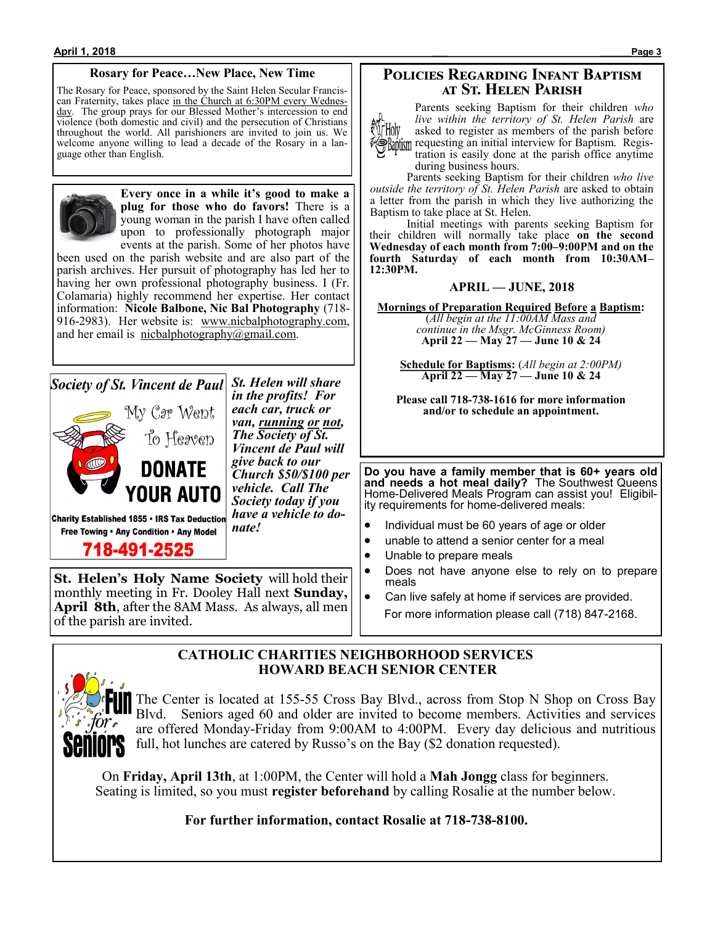#### **Rosary for Peace…New Place, New Time**

The Rosary for Peace, sponsored by the Saint Helen Secular Franciscan Fraternity, takes place in the Church at 6:30PM every Wednesday. The group prays for our Blessed Mother's intercession to end violence (both domestic and civil) and the persecution of Christians throughout the world. All parishioners are invited to join us. We welcome anyone willing to lead a decade of the Rosary in a language other than English.



**Every once in a while it's good to make a plug for those who do favors!** There is a young woman in the parish I have often called upon to professionally photograph major events at the parish. Some of her photos have

been used on the parish website and are also part of the parish archives. Her pursuit of photography has led her to having her own professional photography business. I (Fr. Colamaria) highly recommend her expertise. Her contact information: **Nicole Balbone, Nic Bal Photography** (718- 916-2983). Her website is: www.nicbalphotography.com, and her email is nicbalphotography $@g$ gmail.com.

*Society of St. Vincent de Paul* St. Helen will share



*in the profits! For each car, truck or van, running or not, The Society of St. Vincent de Paul will give back to our Church \$50/\$100 per vehicle. Call The Society today if you have a vehicle to donate!*

Charity Established 1855 . IRS Tax Deduction Free Towing . Any Condition . Any Model

718-491-2525

**St. Helen's Holy Name Society** will hold their monthly meeting in Fr. Dooley Hall next **Sunday, April 8th**, after the 8AM Mass. As always, all men of the parish are invited.

The Center is located at 155-55 Cross Bay Blvd., across from Stop N Shop on Cross Bay Blvd. Seniors aged 60 and older are invited to become members. Activities and services are offered Monday-Friday from 9:00AM to 4:00PM. Every day delicious and nutritious full, hot lunches are catered by Russo's on the Bay (\$2 donation requested).

On **Friday, April 13th**, at 1:00PM, the Center will hold a **Mah Jongg** class for beginners. Seating is limited, so you must **register beforehand** by calling Rosalie at the number below.

**CATHOLIC CHARITIES NEIGHBORHOOD SERVICES**

 **HOWARD BEACH SENIOR CENTER**

**For further information, contact Rosalie at 718-738-8100.**

#### **Policies Regarding Infant Baptism at St. Helen Parish**

Parents seeking Baptism for their children *who live within the territory of St. Helen Parish* are Mr Holy asked to register as members of the parish before **Raptism** requesting an initial interview for Baptism. Registration is easily done at the parish office anytime

during business hours. Parents seeking Baptism for their children *who live* 

*outside the territory of St. Helen Parish* are asked to obtain a letter from the parish in which they live authorizing the Baptism to take place at St. Helen.

Initial meetings with parents seeking Baptism for their children will normally take place **on the second Wednesday of each month from 7:00–9:00PM and on the fourth Saturday of each month from 10:30AM– 12:30PM.**

#### **APRIL — JUNE, 2018**

**Mornings of Preparation Required Before a Baptism:** (*All begin at the 11:00AM Mass and continue in the Msgr. McGinness Room)* **April 22 — May 27 — June 10 & 24**

**Schedule for Baptisms:** (*All begin at 2:00PM)* **April 22 — May 27 — June 10 & 24**

**Please call 718-738-1616 for more information and/or to schedule an appointment.**

**Do you have a family member that is 60+ years old and needs a hot meal daily?** The Southwest Queens Home-Delivered Meals Program can assist you! Eligibility requirements for home-delivered meals:

- Individual must be 60 years of age or older
- unable to attend a senior center for a meal
- Unable to prepare meals
- Does not have anyone else to rely on to prepare meals
- Can live safely at home if services are provided. For more information please call (718) 847-2168.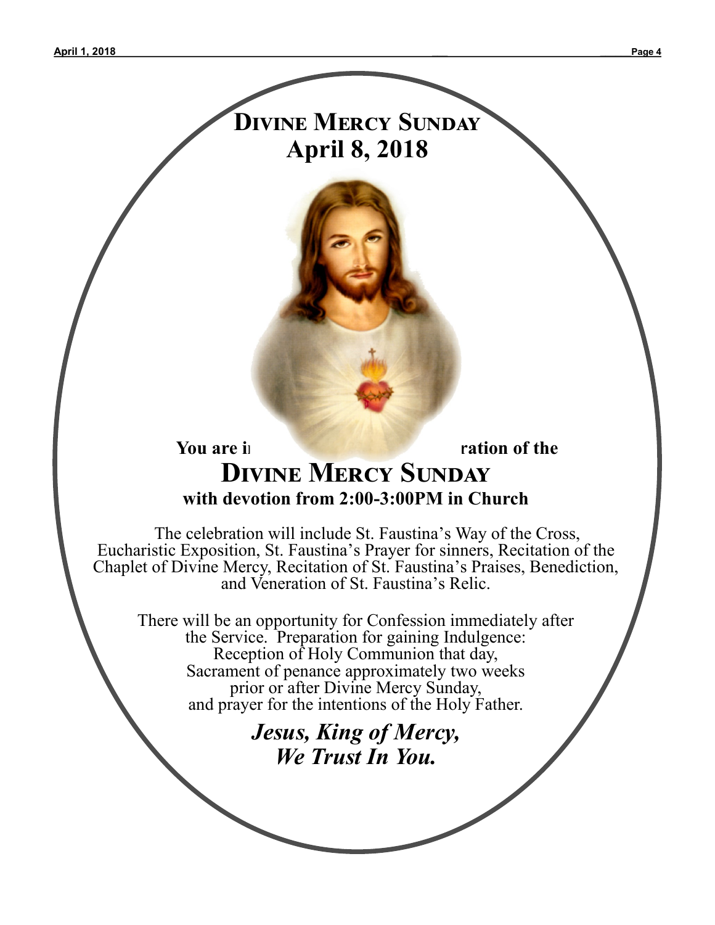# **Divine Mercy Sunday April 8, 2018**



 The celebration will include St. Faustina's Way of the Cross, Eucharistic Exposition, St. Faustina's Prayer for sinners, Recitation of the Chaplet of Divine Mercy, Recitation of St. Faustina's Praises, Benediction, and Veneration of St. Faustina's Relic.

There will be an opportunity for Confession immediately after the Service. Preparation for gaining Indulgence: Reception of Holy Communion that day, Sacrament of penance approximately two weeks prior or after Divine Mercy Sunday, and prayer for the intentions of the Holy Father.

# *Jesus, King of Mercy, We Trust In You.*